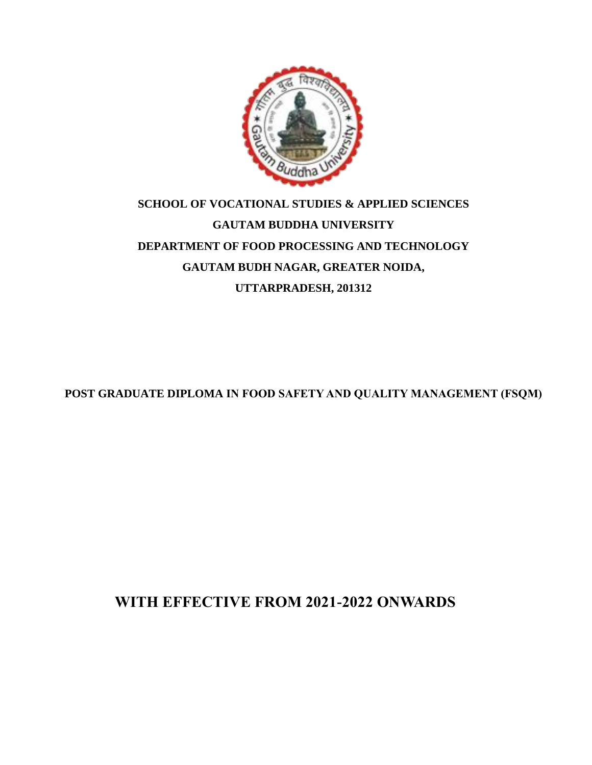

# **SCHOOL OF VOCATIONAL STUDIES & APPLIED SCIENCES GAUTAM BUDDHA UNIVERSITY DEPARTMENT OF FOOD PROCESSING AND TECHNOLOGY GAUTAM BUDH NAGAR, GREATER NOIDA, UTTARPRADESH, 201312**

**POST GRADUATE DIPLOMA IN FOOD SAFETY AND QUALITY MANAGEMENT (FSQM)**

**WITH EFFECTIVE FROM 2021-2022 ONWARDS**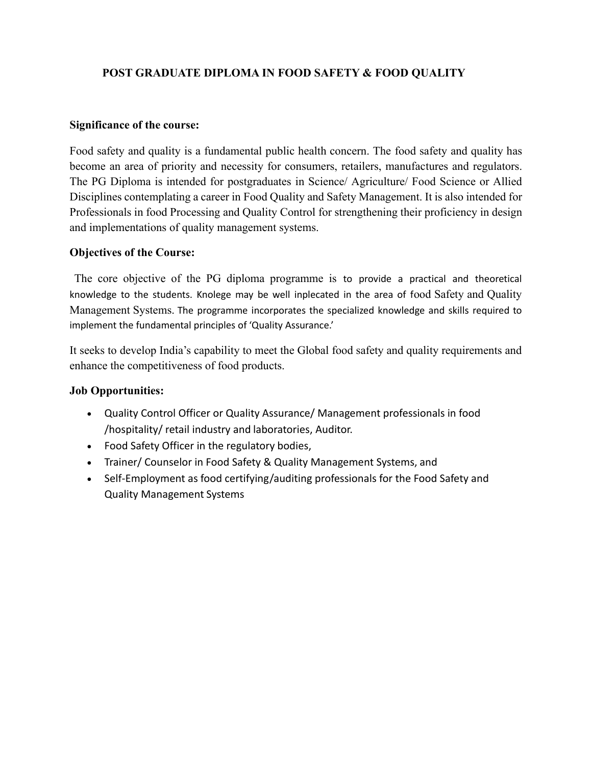### **POST GRADUATE DIPLOMA IN FOOD SAFETY & FOOD QUALITY**

#### **Significance of the course:**

Food safety and quality is a fundamental public health concern. The food safety and quality has become an area of priority and necessity for consumers, retailers, manufactures and regulators. The PG Diploma is intended for postgraduates in Science/ Agriculture/ Food Science or Allied Disciplines contemplating a career in Food Quality and Safety Management. It is also intended for Professionals in food Processing and Quality Control for strengthening their proficiency in design and implementations of quality management systems.

#### **Objectives of the Course:**

The core objective of the PG diploma programme is to provide a practical and theoretical knowledge to the students. Knolege may be well inplecated in the area of food Safety and Quality Management Systems. The programme incorporates the specialized knowledge and skills required to implement the fundamental principles of 'Quality Assurance.'

It seeks to develop India's capability to meet the Global food safety and quality requirements and enhance the competitiveness of food products.

### **Job Opportunities:**

- Quality Control Officer or Quality Assurance/ Management professionals in food /hospitality/ retail industry and laboratories, Auditor.
- Food Safety Officer in the regulatory bodies,
- Trainer/ Counselor in Food Safety & Quality Management Systems, and
- Self-Employment as food certifying/auditing professionals for the Food Safety and Quality Management Systems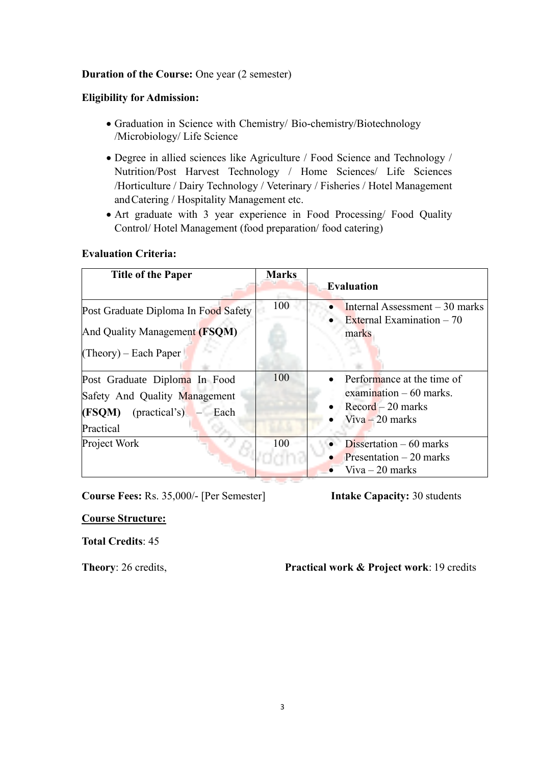### **Duration of the Course:** One year (2 semester)

#### **Eligibility for Admission:**

- Graduation in Science with Chemistry/ Bio-chemistry/Biotechnology /Microbiology/ Life Science
- Degree in allied sciences like Agriculture / Food Science and Technology / Nutrition/Post Harvest Technology / Home Sciences/ Life Sciences /Horticulture / Dairy Technology / Veterinary / Fisheries / Hotel Management andCatering / Hospitality Management etc.
- Art graduate with 3 year experience in Food Processing/ Food Quality Control/ Hotel Management (food preparation/ food catering)

#### **Evaluation Criteria:**

| <b>Title of the Paper</b>                                                                                    | <b>Marks</b> | <b>Evaluation</b>                                                                                                  |
|--------------------------------------------------------------------------------------------------------------|--------------|--------------------------------------------------------------------------------------------------------------------|
| Post Graduate Diploma In Food Safety<br>And Quality Management (FSQM)<br>$(Theory)$ – Each Paper             | 100          | Internal Assessment $-30$ marks<br>External Examination $-70$<br>marks                                             |
| Post Graduate Diploma In Food<br>Safety And Quality Management<br>$(FSQM)$ (practical's) – Each<br>Practical | 100          | Performance at the time of<br>examination $-60$ marks.<br>$\text{Record} - 20 \text{ marks}$<br>$V$ iva – 20 marks |
| Project Work                                                                                                 | 100          | Dissertation $-60$ marks<br>Presentation $-20$ marks<br>$V$ iva $-20$ marks                                        |

**Course Fees:** Rs. 35,000/- [Per Semester] **Intake Capacity:** 30 students

#### **Course Structure:**

#### **Total Credits**: 45

**Theory:** 26 credits, **Practical work & Project work**: 19 credits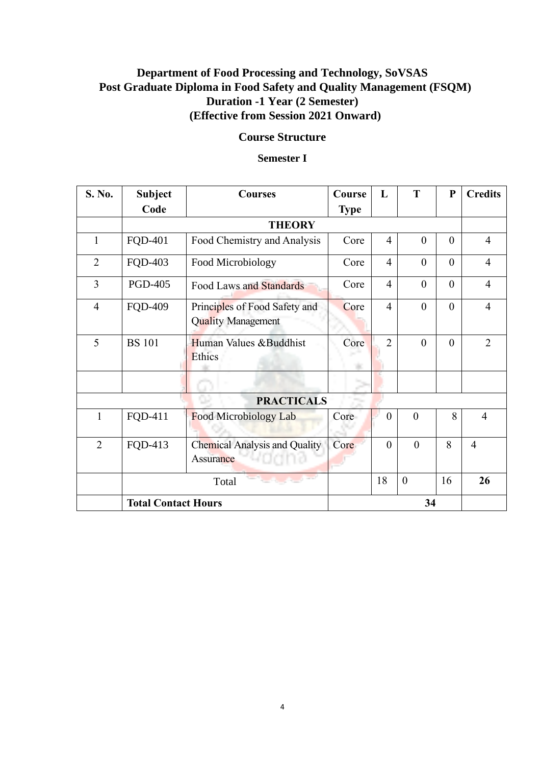## **Department of Food Processing and Technology, SoVSAS Post Graduate Diploma in Food Safety and Quality Management (FSQM) Duration -1 Year (2 Semester) (Effective from Session 2021 Onward)**

## **Course Structure**

### **Semester I**

| S. No.            | <b>Subject</b>             | <b>Courses</b>                                             | <b>Course</b> | L              | T              | $\mathbf{P}$ | <b>Credits</b> |  |
|-------------------|----------------------------|------------------------------------------------------------|---------------|----------------|----------------|--------------|----------------|--|
|                   | Code                       |                                                            | <b>Type</b>   |                |                |              |                |  |
|                   | <b>THEORY</b>              |                                                            |               |                |                |              |                |  |
| $\mathbf{1}$      | <b>FQD-401</b>             | Food Chemistry and Analysis                                | Core          | $\overline{4}$ | $\theta$       | $\theta$     | $\overline{4}$ |  |
| $\overline{2}$    | <b>FQD-403</b>             | Food Microbiology                                          | Core          | $\overline{4}$ | $\overline{0}$ | $\theta$     | $\overline{4}$ |  |
| 3                 | <b>PGD-405</b>             | <b>Food Laws and Standards</b>                             | Core          | $\overline{4}$ | $\overline{0}$ | $\theta$     | $\overline{4}$ |  |
| $\overline{4}$    | <b>FQD-409</b>             | Principles of Food Safety and<br><b>Quality Management</b> | Core          | $\overline{4}$ | $\overline{0}$ | $\theta$     | $\overline{4}$ |  |
| 5                 | <b>BS</b> 101              | Human Values & Buddhist<br>Ethics                          | Core          | $\overline{2}$ | $\mathbf{0}$   | $\theta$     | $\overline{2}$ |  |
|                   |                            |                                                            |               |                |                |              |                |  |
| <b>PRACTICALS</b> |                            |                                                            |               |                |                |              |                |  |
| 1                 | FQD-411                    | Food Microbiology Lab                                      | Core          | $\overline{0}$ | $\theta$       | 8            | $\overline{4}$ |  |
| $\overline{2}$    | FQD-413                    | Chemical Analysis and Quality<br>wagna<br>Assurance        | Core          | $\theta$       | $\mathbf{0}$   | 8            | $\overline{4}$ |  |
|                   |                            | Total                                                      |               | 18             | $\mathbf{0}$   | 16           | 26             |  |
|                   | <b>Total Contact Hours</b> |                                                            | 34            |                |                |              |                |  |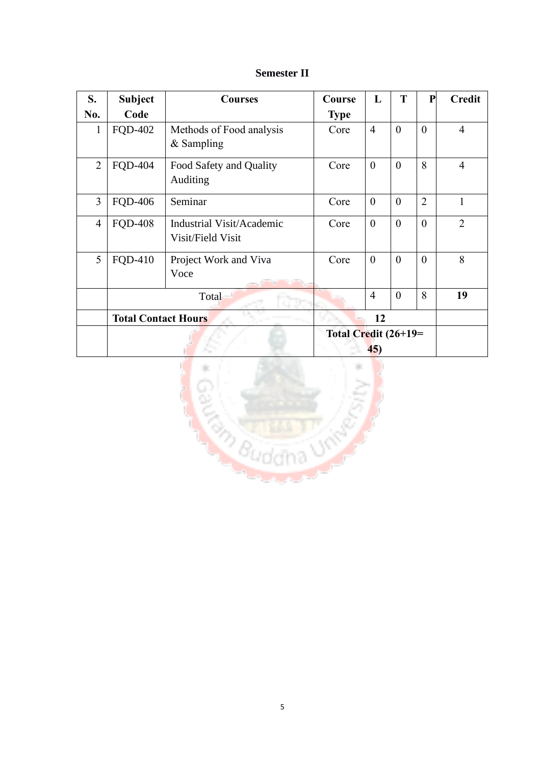## **Semester II**

| S.             | <b>Subject</b>                | <b>Courses</b>                                 | Course      | L              | T              | ${\bf P}$      | <b>Credit</b>  |
|----------------|-------------------------------|------------------------------------------------|-------------|----------------|----------------|----------------|----------------|
| No.            | Code                          |                                                | <b>Type</b> |                |                |                |                |
| 1              | <b>FQD-402</b>                | Methods of Food analysis<br>$&$ Sampling       | Core        | $\overline{4}$ | $\overline{0}$ | $\theta$       | $\overline{4}$ |
| $\overline{2}$ | <b>FQD-404</b>                | Food Safety and Quality<br>Auditing            | Core        | $\overline{0}$ | $\overline{0}$ | 8              | $\overline{4}$ |
| 3              | <b>FQD-406</b>                | Seminar                                        | Core        | $\overline{0}$ | $\theta$       | $\overline{2}$ | $\mathbf{1}$   |
| $\overline{4}$ | <b>FQD-408</b>                | Industrial Visit/Academic<br>Visit/Field Visit | Core        | $\theta$       | $\theta$       | $\theta$       | $\overline{2}$ |
| 5              | FQD-410                       | Project Work and Viva<br>Voce                  | Core        | $\theta$       | $\theta$       | $\theta$       | 8              |
|                |                               | Total                                          |             | $\overline{4}$ | $\overline{0}$ | 8              | 19             |
|                | <b>Total Contact Hours</b>    |                                                |             | 12             |                |                |                |
|                | Total Credit $(26+19=$<br>45) |                                                |             |                |                |                |                |

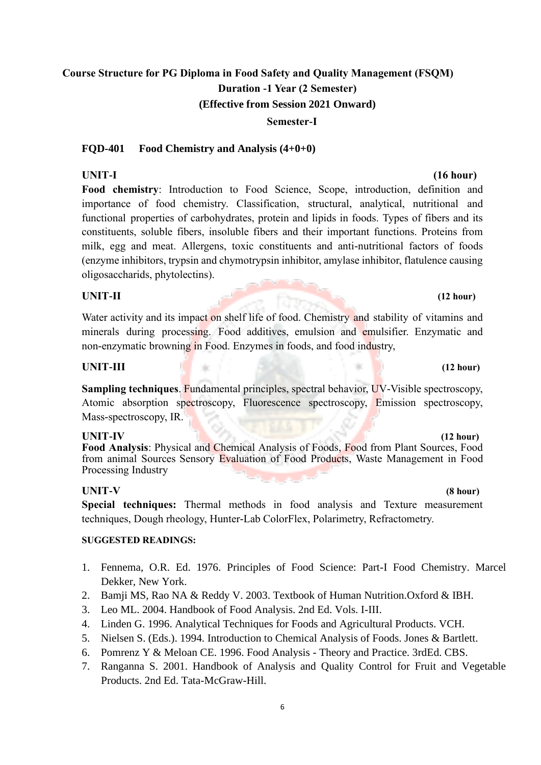#### **Semester-I**

#### **FQD-401 Food Chemistry and Analysis (4+0+0)**

#### **UNIT-I (16 hour)**

**Food chemistry**: Introduction to Food Science, Scope, introduction, definition and importance of food chemistry. Classification, structural, analytical, nutritional and functional properties of carbohydrates, protein and lipids in foods. Types of fibers and its constituents, soluble fibers, insoluble fibers and their important functions. Proteins from milk, egg and meat. Allergens, toxic constituents and anti-nutritional factors of foods (enzyme inhibitors, trypsin and chymotrypsin inhibitor, amylase inhibitor, flatulence causing oligosaccharids, phytolectins).

#### **UNIT-II (12 hour)**

Water activity and its impact on shelf life of food. Chemistry and stability of vitamins and minerals during processing. Food additives, emulsion and emulsifier. Enzymatic and non-enzymatic browning in Food. Enzymes in foods, and food industry,

#### **UNIT-III (12 hour)**

**Sampling techniques**. Fundamental principles, spectral behavior, UV-Visible spectroscopy, Atomic absorption spectroscopy, Fluorescence spectroscopy, Emission spectroscopy, Mass-spectroscopy, IR.

**UNIT-IV (12 hour) Food Analysis**: Physical and Chemical Analysis of Foods, Food from Plant Sources, Food from animal Sources Sensory Evaluation of Food Products, Waste Management in Food Processing Industry

#### **UNIT-V (8 hour)**

**Special techniques:** Thermal methods in food analysis and Texture measurement techniques, Dough rheology, Hunter-Lab ColorFlex, Polarimetry, Refractometry.

#### **SUGGESTED READINGS:**

- 1. Fennema, O.R. Ed. 1976. Principles of Food Science: Part-I Food Chemistry. Marcel Dekker, New York.
- 2. Bamji MS, Rao NA & Reddy V. 2003. Textbook of Human Nutrition.Oxford & IBH.
- 3. Leo ML. 2004. Handbook of Food Analysis. 2nd Ed. Vols. I-III.
- 4. Linden G. 1996. Analytical Techniques for Foods and Agricultural Products. VCH.
- 5. Nielsen S. (Eds.). 1994. Introduction to Chemical Analysis of Foods. Jones & Bartlett.
- 6. Pomrenz Y & Meloan CE. 1996. Food Analysis Theory and Practice. 3rdEd. CBS.
- 7. Ranganna S. 2001. Handbook of Analysis and Quality Control for Fruit and Vegetable Products. 2nd Ed. Tata-McGraw-Hill.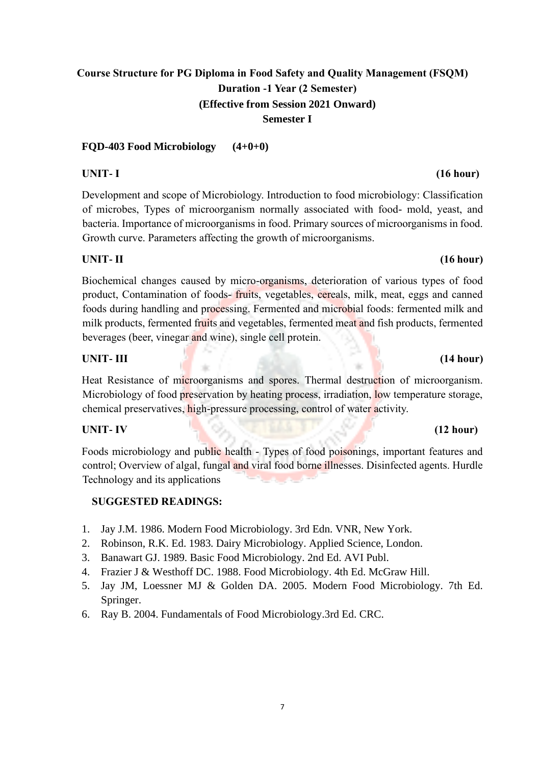### **FQD-403 Food Microbiology (4+0+0)**

Development and scope of Microbiology. Introduction to food microbiology: Classification of microbes, Types of microorganism normally associated with food- mold, yeast, and bacteria. Importance of microorganisms in food. Primary sources of microorganisms in food. Growth curve. Parameters affecting the growth of microorganisms.

### **UNIT- II (16 hour)**

Biochemical changes caused by micro-organisms, deterioration of various types of food product, Contamination of foods- fruits, vegetables, cereals, milk, meat, eggs and canned foods during handling and processing. Fermented and microbial foods: fermented milk and milk products, fermented fruits and vegetables, fermented meat and fish products, fermented beverages (beer, vinegar and wine), single cell protein.

### **UNIT- III (14 hour)**

Heat Resistance of microorganisms and spores. Thermal destruction of microorganism. Microbiology of food preservation by heating process, irradiation, low temperature storage, chemical preservatives, high-pressure processing, control of water activity.

## **UNIT- IV (12 hour)**

Foods microbiology and public health - Types of food poisonings, important features and control; Overview of algal, fungal and viral food borne illnesses. Disinfected agents. Hurdle Technology and its applications

## **SUGGESTED READINGS:**

- 1. Jay J.M. 1986. Modern Food Microbiology. 3rd Edn. VNR, New York.
- 2. Robinson, R.K. Ed. 1983. Dairy Microbiology. Applied Science, London.
- 3. Banawart GJ. 1989. Basic Food Microbiology. 2nd Ed. AVI Publ.
- 4. Frazier J & Westhoff DC. 1988. Food Microbiology. 4th Ed. McGraw Hill.
- 5. Jay JM, Loessner MJ & Golden DA. 2005. Modern Food Microbiology. 7th Ed. Springer.
- 6. Ray B. 2004. Fundamentals of Food Microbiology.3rd Ed. CRC.

## **UNIT- I (16 hour)**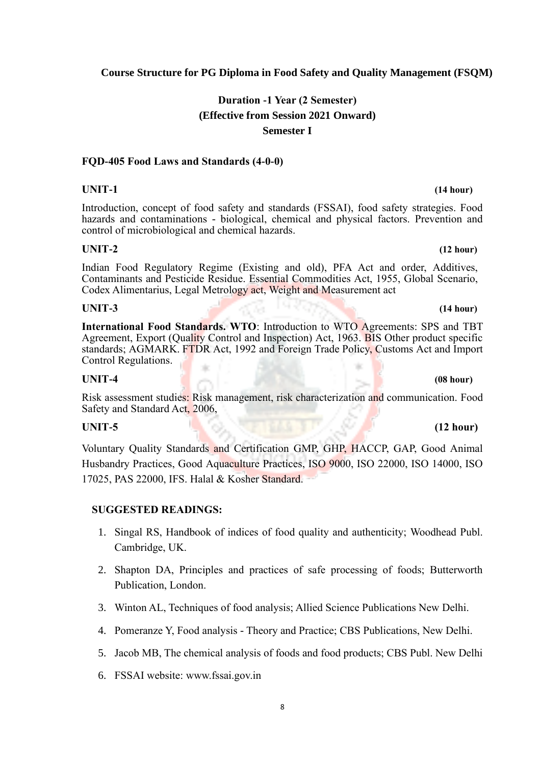### **Course Structure for PG Diploma in Food Safety and Quality Management (FSQM)**

## **Duration -1 Year (2 Semester) (Effective from Session 2021 Onward) Semester I**

#### **FQD-405 Food Laws and Standards (4-0-0)**

Introduction, concept of food safety and standards (FSSAI), food safety strategies. Food hazards and contaminations - biological, chemical and physical factors. Prevention and control of microbiological and chemical hazards.

#### **UNIT-2 (12 hour)**

Indian Food Regulatory Regime (Existing and old), PFA Act and order, Additives, Contaminants and Pesticide Residue. Essential Commodities Act, 1955, Global Scenario, Codex Alimentarius, Legal Metrology act, Weight and Measurement act

#### **UNIT-3 (14 hour)**

**International Food Standards. WTO**: Introduction to WTO Agreements: SPS and TBT Agreement, Export (Quality Control and Inspection) Act, 1963. BIS Other product specific standards; AGMARK. FTDR Act, 1992 and Foreign Trade Policy, Customs Act and Import Control Regulations.

### **UNIT-4 (08 hour)**

Risk assessment studies: Risk management, risk characterization and communication. Food Safety and Standard Act, 2006,

#### **UNIT-5 (12 hour)**

Voluntary Quality Standards and Certification GMP, GHP, HACCP, GAP, Good Animal Husbandry Practices, Good Aquaculture Practices, ISO 9000, ISO 22000, ISO 14000, ISO 17025, PAS 22000, IFS. Halal & Kosher Standard.

#### **SUGGESTED READINGS:**

- 1. Singal RS, Handbook of indices of food quality and authenticity; Woodhead Publ. Cambridge, UK.
- 2. Shapton DA, Principles and practices of safe processing of foods; Butterworth Publication, London.
- 3. Winton AL, Techniques of food analysis; Allied Science Publications New Delhi.
- 4. Pomeranze Y, Food analysis Theory and Practice; CBS Publications, New Delhi.
- 5. Jacob MB, The chemical analysis of foods and food products; CBS Publ. New Delhi
- 6. FSSAI website: [www.fssai.gov.in](http://www.fssai.gov.in/)

## **UNIT-1 (14 hour)**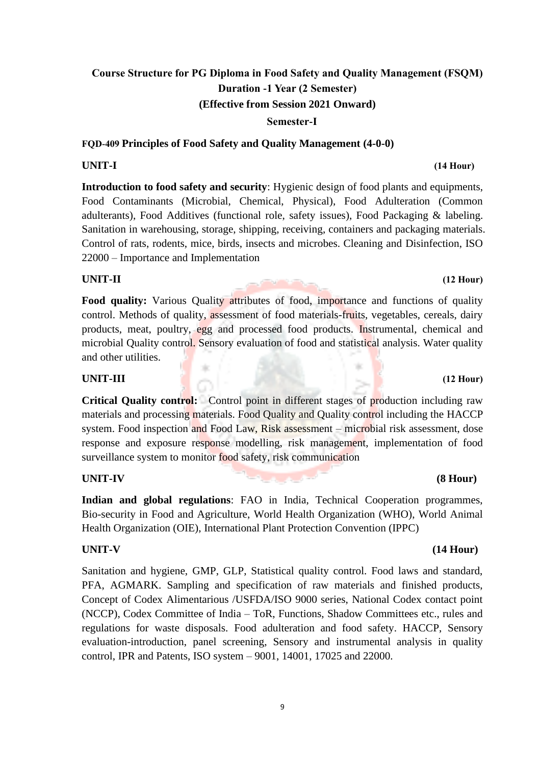**Semester-I**

**FQD-409 Principles of Food Safety and Quality Management (4-0-0)**

the control

**Introduction to food safety and security**: Hygienic design of food plants and equipments, Food Contaminants (Microbial, Chemical, Physical), Food Adulteration (Common adulterants), Food Additives (functional role, safety issues), Food Packaging & labeling. Sanitation in warehousing, storage, shipping, receiving, containers and packaging materials. Control of rats, rodents, mice, birds, insects and microbes. Cleaning and Disinfection, ISO 22000 – Importance and Implementation

### **UNIT-II (12 Hour)**

**Food quality:** Various Quality attributes of food, importance and functions of quality control. Methods of quality, assessment of food materials-fruits, vegetables, cereals, dairy products, meat, poultry, egg and processed food products. Instrumental, chemical and microbial Quality control. Sensory evaluation of food and statistical analysis. Water quality and other utilities.

### **UNIT-III (12 Hour)**

**Critical Quality control:** Control point in different stages of production including raw materials and processing materials. Food Quality and Quality control including the HACCP system. Food inspection and Food Law, Risk assessment – microbial risk assessment, dose response and exposure response modelling, risk management, implementation of food surveillance system to monitor food safety, risk communication

### **UNIT-IV (8 Hour)**

**Indian and global regulations**: FAO in India, Technical Cooperation programmes, Bio-security in Food and Agriculture, World Health Organization (WHO), World Animal Health Organization (OIE), International Plant Protection Convention (IPPC)

#### **UNIT-V (14 Hour)**

Sanitation and hygiene, GMP, GLP, Statistical quality control. Food laws and standard, PFA, AGMARK. Sampling and specification of raw materials and finished products, Concept of Codex Alimentarious /USFDA/ISO 9000 series, National Codex contact point (NCCP), Codex Committee of India – ToR, Functions, Shadow Committees etc., rules and regulations for waste disposals. Food adulteration and food safety. HACCP, Sensory evaluation-introduction, panel screening, Sensory and instrumental analysis in quality control, IPR and Patents, ISO system – 9001, 14001, 17025 and 22000.

## **UNIT-I (14 Hour)**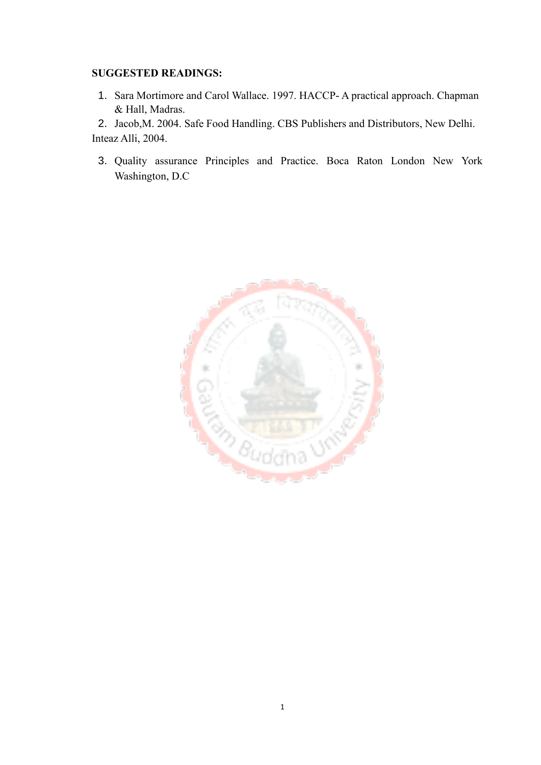#### **SUGGESTED READINGS:**

1. Sara Mortimore and Carol Wallace. 1997. HACCP- A practical approach. Chapman & Hall, Madras.

2. Jacob,M. 2004. Safe Food Handling. CBS Publishers and Distributors, New Delhi. Inteaz Alli, 2004.

3. Quality assurance Principles and Practice. Boca Raton London New York Washington, D.C

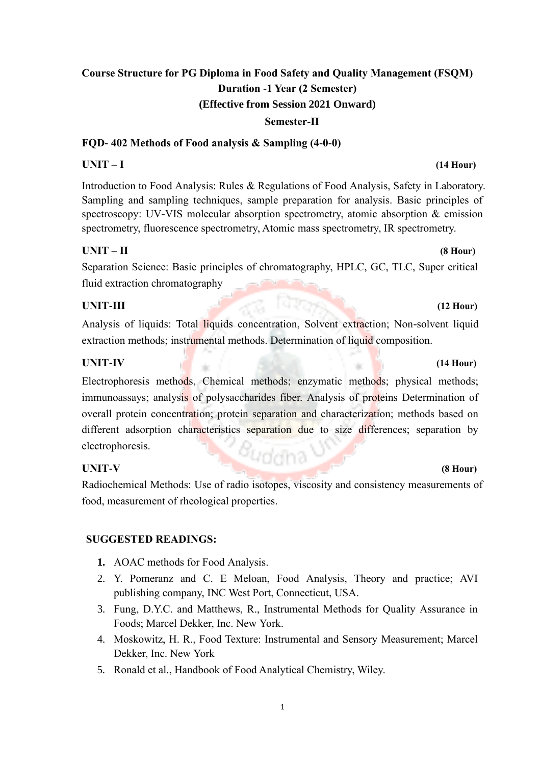#### **Semester-II**

#### **FQD- 402 Methods of Food analysis & Sampling (4-0-0)**

#### **UNIT – I (14 Hour)**

Introduction to Food Analysis: Rules & Regulations of Food Analysis, Safety in Laboratory. Sampling and sampling techniques, sample preparation for analysis. Basic principles of spectroscopy: UV-VIS molecular absorption spectrometry, atomic absorption & emission spectrometry, fluorescence spectrometry, Atomic mass spectrometry, IR spectrometry.

### **UNIT – II (8 Hour)**

Separation Science: Basic principles of chromatography, HPLC, GC, TLC, Super critical fluid extraction chromatography

### **UNIT-III (12 Hour)**

Analysis of liquids: Total liquids concentration, Solvent extraction; Non-solvent liquid extraction methods; instrumental methods. Determination of liquid composition.

### **UNIT-IV (14 Hour)**

Electrophoresis methods, Chemical methods; enzymatic methods; physical methods; immunoassays; analysis of polysaccharides fiber. Analysis of proteins Determination of overall protein concentration; protein separation and characterization; methods based on different adsorption characteristics separation due to size differences; separation by electrophoresis.

### **UNIT-V (8 Hour)**

Radiochemical Methods: Use of radio isotopes, viscosity and consistency measurements of food, measurement of rheological properties.

### **SUGGESTED READINGS:**

- **1.** AOAC methods for Food Analysis.
- 2. Y. Pomeranz and C. E Meloan, Food Analysis, Theory and practice; AVI publishing company, INC West Port, Connecticut, USA.
- 3. Fung, D.Y.C. and Matthews, R., Instrumental Methods for Quality Assurance in Foods; Marcel Dekker, Inc. New York.
- 4. Moskowitz, H. R., Food Texture: Instrumental and Sensory Measurement; Marcel Dekker, Inc. New York
- 5. Ronald et al., Handbook of Food Analytical Chemistry, Wiley.

11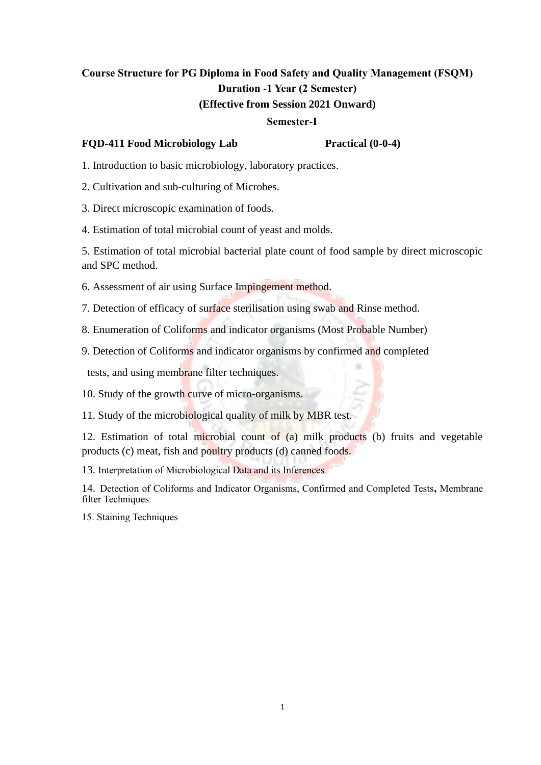#### **Semester-I**

#### **FQD-411 Food Microbiology Lab Practical (0-0-4)**

1. Introduction to basic microbiology, laboratory practices.

- 2. Cultivation and sub-culturing of Microbes.
- 3. Direct microscopic examination of foods.

4. Estimation of total microbial count of yeast and molds.

5. Estimation of total microbial bacterial plate count of food sample by direct microscopic and SPC method.

6. Assessment of air using Surface Impingement method.

7. Detection of efficacy of surface sterilisation using swab and Rinse method.

8. Enumeration of Coliforms and indicator organisms (Most Probable Number)

9. Detection of Coliforms and indicator organisms by confirmed and completed

tests, and using membrane filter techniques.

10. Study of the growth curve of micro-organisms.

11. Study of the microbiological quality of milk by MBR test.

12. Estimation of total microbial count of (a) milk products (b) fruits and vegetable products (c) meat, fish and poultry products (d) canned foods.

13. Interpretation of Microbiological Data and its Inferences

14. Detection of Coliforms and Indicator Organisms, Confirmed and Completed Tests**,** Membrane filter Techniques

15. Staining Techniques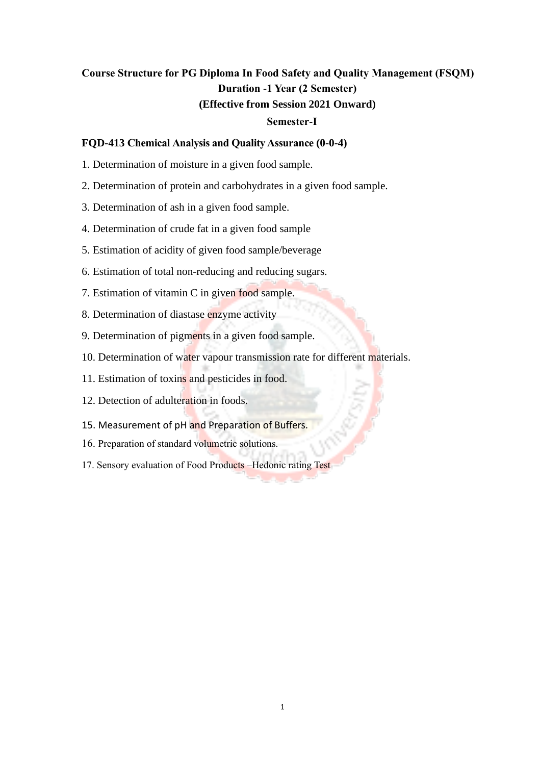#### **Semester-I**

#### **FQD-413 Chemical Analysis and Quality Assurance (0-0-4)**

- 1. Determination of moisture in a given food sample.
- 2. Determination of protein and carbohydrates in a given food sample.
- 3. Determination of ash in a given food sample.
- 4. Determination of crude fat in a given food sample
- 5. Estimation of acidity of given food sample/beverage
- 6. Estimation of total non-reducing and reducing sugars.
- 7. Estimation of vitamin C in given food sample.
- 8. Determination of diastase enzyme activity
- 9. Determination of pigments in a given food sample.
- 10. Determination of water vapour transmission rate for different materials.
- 11. Estimation of toxins and pesticides in food.
- 12. Detection of adulteration in foods.
- 15. Measurement of pH and Preparation of Buffers.
- 16. Preparation of standard volumetric solutions.
- 17. Sensory evaluation of Food Products –Hedonic rating Test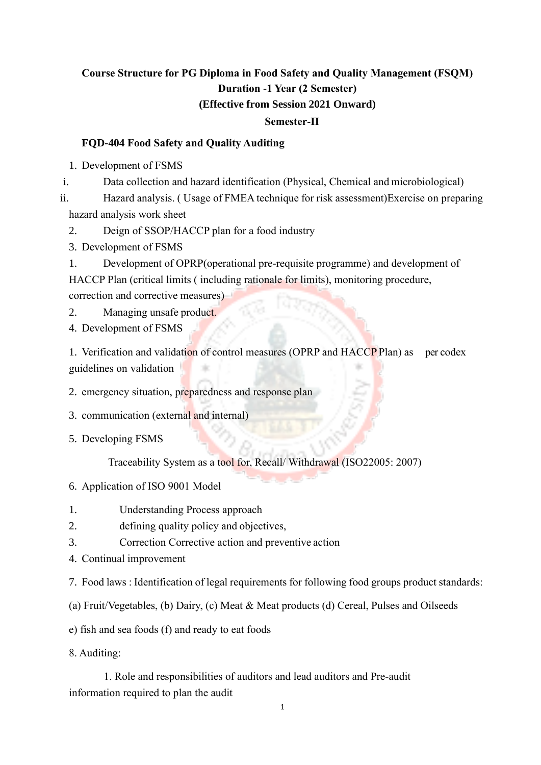### **Semester-II**

#### **FQD-404 Food Safety and Quality Auditing**

1. Development of FSMS

i. Data collection and hazard identification (Physical, Chemical and microbiological)

ii. Hazard analysis. ( Usage of FMEA technique for risk assessment)Exercise on preparing hazard analysis work sheet

2. Deign of SSOP/HACCP plan for a food industry

3. Development of FSMS

1. Development of OPRP(operational pre-requisite programme) and development of HACCP Plan (critical limits ( including rationale for limits), monitoring procedure, correction and corrective measures)

2. Managing unsafe product.

4. Development of FSMS

1. Verification and validation of control measures (OPRP and HACCP Plan) as per codex guidelines on validation

2. emergency situation, preparedness and response plan

3. communication (external and internal)

5. Developing FSMS

Traceability System as a tool for, Recall/ Withdrawal (ISO22005: 2007)

- 6. Application of ISO 9001 Model
- 1. Understanding Process approach
- 2. defining quality policy and objectives,
- 3. Correction Corrective action and preventive action
- 4. Continual improvement

7. Food laws : Identification of legal requirements for following food groups product standards:

(a) Fruit/Vegetables, (b) Dairy, (c) Meat & Meat products (d) Cereal, Pulses and Oilseeds

e) fish and sea foods (f) and ready to eat foods

8. Auditing:

 1. Role and responsibilities of auditors and lead auditors and Pre-audit information required to plan the audit